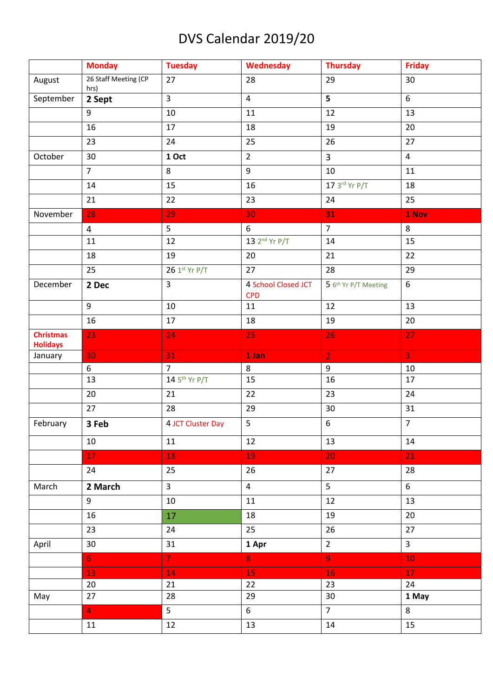## DVS Calendar 2019/20

|                                     | <b>Monday</b>                | <b>Tuesday</b>            | Wednesday                         | <b>Thursday</b>      | <b>Friday</b>  |
|-------------------------------------|------------------------------|---------------------------|-----------------------------------|----------------------|----------------|
| August                              | 26 Staff Meeting (CP<br>hrs) | 27                        | 28                                | 29                   | 30             |
| September                           | 2 Sept                       | $\overline{3}$            | $\overline{4}$                    | 5 <sup>1</sup>       | 6              |
|                                     | 9                            | 10                        | 11                                | 12                   | 13             |
|                                     | 16                           | 17                        | 18                                | 19                   | 20             |
|                                     | 23                           | 24                        | 25                                | 26                   | 27             |
| October                             | 30                           | 1 Oct                     | $\overline{2}$                    | $\overline{3}$       | $\overline{4}$ |
|                                     | $\overline{7}$               | 8                         | 9                                 | 10                   | 11             |
|                                     | 14                           | 15                        | 16                                | 17 3rd Yr P/T        | 18             |
|                                     | 21                           | 22                        | 23                                | 24                   | 25             |
| November                            | 28                           | 29                        | 30                                | 31                   | 1 Nov          |
|                                     | $\overline{4}$               | 5                         | 6                                 | $\overline{7}$       | 8              |
|                                     | 11                           | 12                        | 13 2 <sup>nd</sup> Yr P/T         | 14                   | 15             |
|                                     | 18                           | 19                        | 20                                | 21                   | 22             |
|                                     | 25                           | 26 1st Yr P/T             | 27                                | 28                   | 29             |
| December                            | 2 Dec                        | $\overline{3}$            | 4 School Closed JCT<br><b>CPD</b> | 5 6th Yr P/T Meeting | 6              |
|                                     | $\overline{9}$               | 10                        | 11                                | 12                   | 13             |
|                                     | 16                           | 17                        | 18                                | 19                   | 20             |
| <b>Christmas</b><br><b>Holidays</b> | 23                           | 24                        | 25                                | 26                   | 27             |
| January                             | 30                           | 31                        | 1 Jan                             | 2 <sup>1</sup>       | 3 <sup>°</sup> |
|                                     | 6                            | $\overline{7}$            | 8                                 | 9                    | 10             |
|                                     | 13                           | 14 5 <sup>th</sup> Yr P/T | 15                                | 16                   | 17             |
|                                     | 20                           | 21                        | 22                                | 23                   | 24             |
|                                     | 27                           | 28                        | 29                                | 30                   | 31             |
| February                            |                              |                           |                                   |                      |                |
|                                     | 3 Feb                        | 4 JCT Cluster Day         | 5                                 | $\boldsymbol{6}$     | $\overline{7}$ |
|                                     | 10                           | 11                        | 12                                | 13                   | 14             |
|                                     | 17                           | 18                        | 19                                | 20                   | 21             |
|                                     | 24                           | 25                        | 26                                | 27                   | 28             |
| March                               | 2 March                      | $\mathbf{3}$              | $\overline{4}$                    | 5 <sub>1</sub>       | 6              |
|                                     | 9                            | 10                        | 11                                | 12                   | 13             |
|                                     | 16                           | 17                        | 18                                | 19                   | 20             |
|                                     | 23                           | 24                        | 25                                | 26                   | 27             |
| April                               | 30                           | 31                        | 1 Apr                             | $2^{\circ}$          | $\overline{3}$ |
|                                     | 6 <sup>1</sup>               | 7 <sup>1</sup>            | 8                                 | 9 <sup>°</sup>       | 10             |
|                                     | 13                           | 14                        | 15                                | 16                   | 17             |
|                                     | 20                           | 21                        | 22                                | 23                   | 24             |
| May                                 | 27                           | 28                        | 29                                | 30 <sub>o</sub>      | 1 May          |
|                                     | $\overline{4}$               | 5                         | 6                                 | 7 <sup>7</sup>       | 8              |